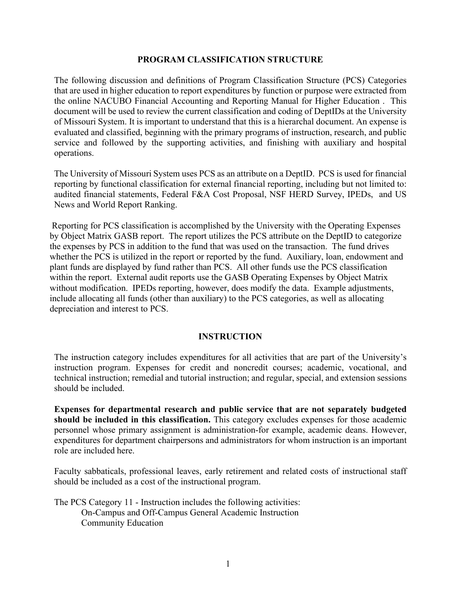#### **PROGRAM CLASSIFICATION STRUCTURE**

The following discussion and definitions of Program Classification Structure (PCS) Categories that are used in higher education to report expenditures by function or purpose were extracted from the online NACUBO Financial Accounting and Reporting Manual for Higher Education . This document will be used to review the current classification and coding of DeptIDs at the University of Missouri System. It is important to understand that this is a hierarchal document. An expense is evaluated and classified, beginning with the primary programs of instruction, research, and public service and followed by the supporting activities, and finishing with auxiliary and hospital operations.

The University of Missouri System uses PCS as an attribute on a DeptID. PCS is used for financial reporting by functional classification for external financial reporting, including but not limited to: audited financial statements, Federal F&A Cost Proposal, NSF HERD Survey, IPEDs, and US News and World Report Ranking.

Reporting for PCS classification is accomplished by the University with the Operating Expenses by Object Matrix GASB report. The report utilizes the PCS attribute on the DeptID to categorize the expenses by PCS in addition to the fund that was used on the transaction. The fund drives whether the PCS is utilized in the report or reported by the fund. Auxiliary, loan, endowment and plant funds are displayed by fund rather than PCS. All other funds use the PCS classification within the report. External audit reports use the GASB Operating Expenses by Object Matrix without modification. IPEDs reporting, however, does modify the data. Example adjustments, include allocating all funds (other than auxiliary) to the PCS categories, as well as allocating depreciation and interest to PCS.

#### **INSTRUCTION**

The instruction category includes expenditures for all activities that are part of the University's instruction program. Expenses for credit and noncredit courses; academic, vocational, and technical instruction; remedial and tutorial instruction; and regular, special, and extension sessions should be included.

**Expenses for departmental research and public service that are not separately budgeted should be included in this classification.** This category excludes expenses for those academic personnel whose primary assignment is administration-for example, academic deans. However, expenditures for department chairpersons and administrators for whom instruction is an important role are included here.

Faculty sabbaticals, professional leaves, early retirement and related costs of instructional staff should be included as a cost of the instructional program.

The PCS Category 11 - Instruction includes the following activities: On-Campus and Off-Campus General Academic Instruction Community Education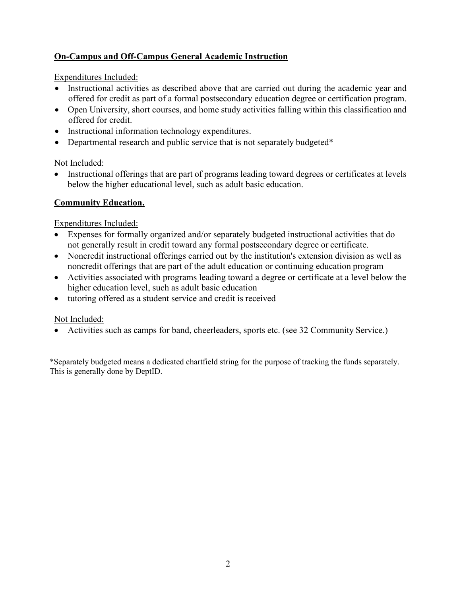# **On-Campus and Off-Campus General Academic Instruction**

Expenditures Included:

- Instructional activities as described above that are carried out during the academic year and offered for credit as part of a formal postsecondary education degree or certification program.
- Open University, short courses, and home study activities falling within this classification and offered for credit.
- Instructional information technology expenditures.
- Departmental research and public service that is not separately budgeted\*

Not Included:

• Instructional offerings that are part of programs leading toward degrees or certificates at levels below the higher educational level, such as adult basic education.

# **Community Education.**

Expenditures Included:

- Expenses for formally organized and/or separately budgeted instructional activities that do not generally result in credit toward any formal postsecondary degree or certificate.
- Noncredit instructional offerings carried out by the institution's extension division as well as noncredit offerings that are part of the adult education or continuing education program
- Activities associated with programs leading toward a degree or certificate at a level below the higher education level, such as adult basic education
- tutoring offered as a student service and credit is received

## Not Included:

• Activities such as camps for band, cheerleaders, sports etc. (see 32 Community Service.)

\*Separately budgeted means a dedicated chartfield string for the purpose of tracking the funds separately. This is generally done by DeptID.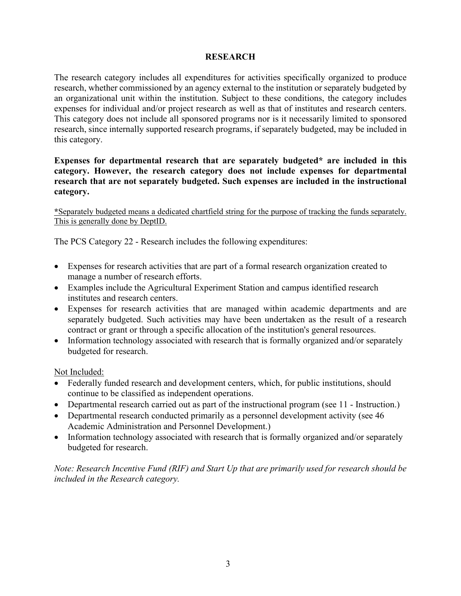### **RESEARCH**

The research category includes all expenditures for activities specifically organized to produce research, whether commissioned by an agency external to the institution or separately budgeted by an organizational unit within the institution. Subject to these conditions, the category includes expenses for individual and/or project research as well as that of institutes and research centers. This category does not include all sponsored programs nor is it necessarily limited to sponsored research, since internally supported research programs, if separately budgeted, may be included in this category.

### **Expenses for departmental research that are separately budgeted\* are included in this category. However, the research category does not include expenses for departmental research that are not separately budgeted. Such expenses are included in the instructional category.**

**\***Separately budgeted means a dedicated chartfield string for the purpose of tracking the funds separately. This is generally done by DeptID.

The PCS Category 22 - Research includes the following expenditures:

- Expenses for research activities that are part of a formal research organization created to manage a number of research efforts.
- Examples include the Agricultural Experiment Station and campus identified research institutes and research centers.
- Expenses for research activities that are managed within academic departments and are separately budgeted. Such activities may have been undertaken as the result of a research contract or grant or through a specific allocation of the institution's general resources.
- Information technology associated with research that is formally organized and/or separately budgeted for research.

Not Included:

- Federally funded research and development centers, which, for public institutions, should continue to be classified as independent operations.
- Departmental research carried out as part of the instructional program (see 11 Instruction.)
- Departmental research conducted primarily as a personnel development activity (see 46 Academic Administration and Personnel Development.)
- Information technology associated with research that is formally organized and/or separately budgeted for research.

*Note: Research Incentive Fund (RIF) and Start Up that are primarily used for research should be included in the Research category.*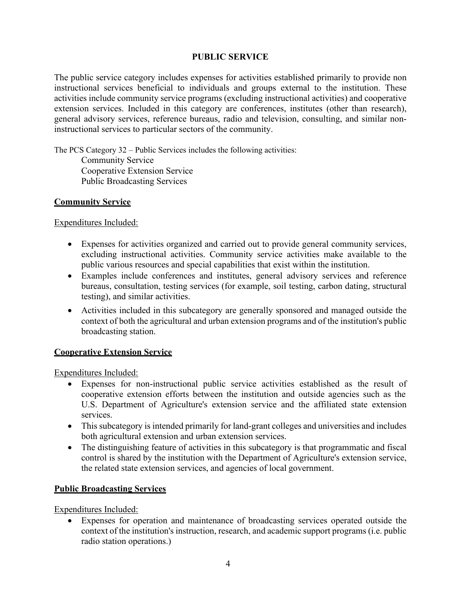### **PUBLIC SERVICE**

The public service category includes expenses for activities established primarily to provide non instructional services beneficial to individuals and groups external to the institution. These activities include community service programs (excluding instructional activities) and cooperative extension services. Included in this category are conferences, institutes (other than research), general advisory services, reference bureaus, radio and television, consulting, and similar noninstructional services to particular sectors of the community.

The PCS Category 32 – Public Services includes the following activities: Community Service Cooperative Extension Service Public Broadcasting Services

### **Community Service**

Expenditures Included:

- Expenses for activities organized and carried out to provide general community services, excluding instructional activities. Community service activities make available to the public various resources and special capabilities that exist within the institution.
- Examples include conferences and institutes, general advisory services and reference bureaus, consultation, testing services (for example, soil testing, carbon dating, structural testing), and similar activities.
- Activities included in this subcategory are generally sponsored and managed outside the context of both the agricultural and urban extension programs and of the institution's public broadcasting station.

## **Cooperative Extension Service**

Expenditures Included:

- Expenses for non-instructional public service activities established as the result of cooperative extension efforts between the institution and outside agencies such as the U.S. Department of Agriculture's extension service and the affiliated state extension services.
- This subcategory is intended primarily for land-grant colleges and universities and includes both agricultural extension and urban extension services.
- The distinguishing feature of activities in this subcategory is that programmatic and fiscal control is shared by the institution with the Department of Agriculture's extension service, the related state extension services, and agencies of local government.

## **Public Broadcasting Services**

Expenditures Included:

• Expenses for operation and maintenance of broadcasting services operated outside the context of the institution's instruction, research, and academic support programs (i.e. public radio station operations.)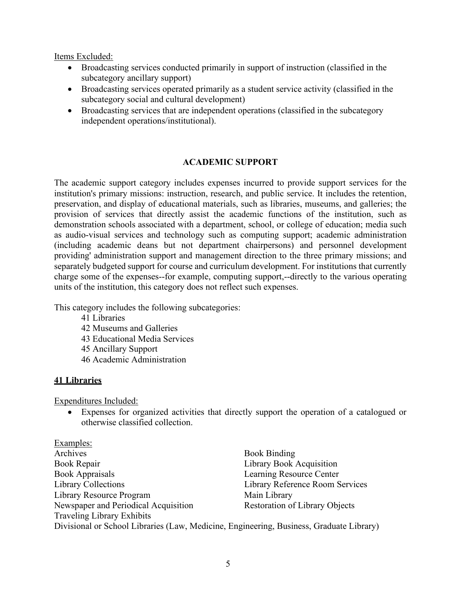Items Excluded:

- Broadcasting services conducted primarily in support of instruction (classified in the subcategory ancillary support)
- Broadcasting services operated primarily as a student service activity (classified in the subcategory social and cultural development)
- Broadcasting services that are independent operations (classified in the subcategory independent operations/institutional).

# **ACADEMIC SUPPORT**

The academic support category includes expenses incurred to provide support services for the institution's primary missions: instruction, research, and public service. It includes the retention, preservation, and display of educational materials, such as libraries, museums, and galleries; the provision of services that directly assist the academic functions of the institution, such as demonstration schools associated with a department, school, or college of education; media such as audio-visual services and technology such as computing support; academic administration (including academic deans but not department chairpersons) and personnel development providing' administration support and management direction to the three primary missions; and separately budgeted support for course and curriculum development. For institutions that currently charge some of the expenses--for example, computing support,--directly to the various operating units of the institution, this category does not reflect such expenses.

This category includes the following subcategories:

- 41 Libraries
- 42 Museums and Galleries
- 43 Educational Media Services
- 45 Ancillary Support
- 46 Academic Administration

## **41 Libraries**

Expenditures Included:

• Expenses for organized activities that directly support the operation of a catalogued or otherwise classified collection.

| Examples:                                                                               |                                       |
|-----------------------------------------------------------------------------------------|---------------------------------------|
| Archives                                                                                | <b>Book Binding</b>                   |
| Book Repair                                                                             | <b>Library Book Acquisition</b>       |
| <b>Book Appraisals</b>                                                                  | Learning Resource Center              |
| <b>Library Collections</b>                                                              | Library Reference Room Services       |
| Library Resource Program                                                                | Main Library                          |
| Newspaper and Periodical Acquisition                                                    | <b>Restoration of Library Objects</b> |
| <b>Traveling Library Exhibits</b>                                                       |                                       |
| Divisional or School Libraries (Law, Medicine, Engineering, Business, Graduate Library) |                                       |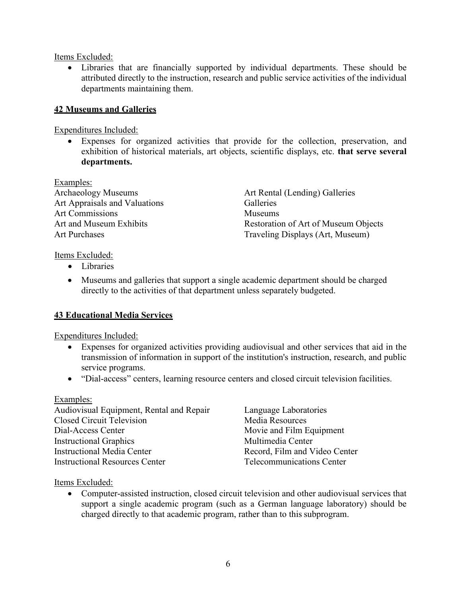Items Excluded:

• Libraries that are financially supported by individual departments. These should be attributed directly to the instruction, research and public service activities of the individual departments maintaining them.

## **42 Museums and Galleries**

Expenditures Included:

• Expenses for organized activities that provide for the collection, preservation, and exhibition of historical materials, art objects, scientific displays, etc. **that serve several departments.**

Examples: Archaeology Museums **Archaeology Museums** Art Rental (Lending) Galleries Art Appraisals and Valuations Galleries Art Commissions Museums

Art and Museum Exhibits Restoration of Art of Museum Objects Art Purchases Traveling Displays (Art, Museum)

Items Excluded:

- Libraries
- Museums and galleries that support a single academic department should be charged directly to the activities of that department unless separately budgeted.

## **43 Educational Media Services**

Expenditures Included:

- Expenses for organized activities providing audiovisual and other services that aid in the transmission of information in support of the institution's instruction, research, and public service programs.
- "Dial-access" centers, learning resource centers and closed circuit television facilities.

#### Examples:

| Audiovisual Equipment, Rental and Repair | Language Laboratories            |
|------------------------------------------|----------------------------------|
| <b>Closed Circuit Television</b>         | Media Resources                  |
| Dial-Access Center                       | Movie and Film Equipment         |
| <b>Instructional Graphics</b>            | Multimedia Center                |
| Instructional Media Center               | Record, Film and Video Center    |
| <b>Instructional Resources Center</b>    | <b>Telecommunications Center</b> |

Items Excluded:

• Computer-assisted instruction, closed circuit television and other audiovisual services that support a single academic program (such as a German language laboratory) should be charged directly to that academic program, rather than to this subprogram.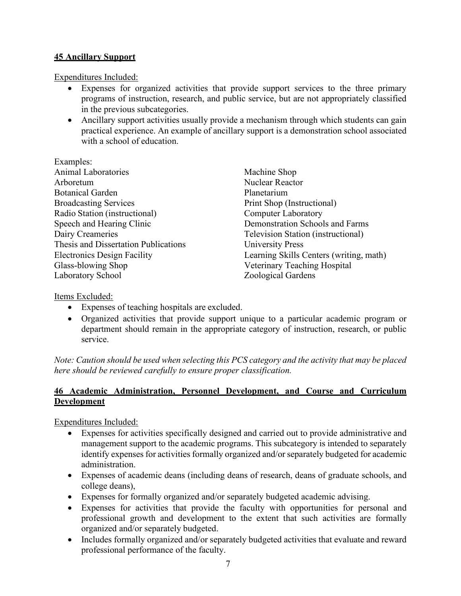# **45 Ancillary Support**

Expenditures Included:

- Expenses for organized activities that provide support services to the three primary programs of instruction, research, and public service, but are not appropriately classified in the previous subcategories.
- Ancillary support activities usually provide a mechanism through which students can gain practical experience. An example of ancillary support is a demonstration school associated with a school of education.

Examples: Animal Laboratories Machine Shop Arboretum Nuclear Reactor Botanical Garden **Planetarium** Broadcasting Services Print Shop (Instructional) Radio Station (instructional) Computer Laboratory Speech and Hearing Clinic Demonstration Schools and Farms Dairy Creameries Television Station (instructional) Thesis and Dissertation Publications University Press Glass-blowing Shop Veterinary Teaching Hospital Laboratory School Zoological Gardens

Electronics Design Facility Learning Skills Centers (writing, math)

Items Excluded:

- Expenses of teaching hospitals are excluded.
- Organized activities that provide support unique to a particular academic program or department should remain in the appropriate category of instruction, research, or public service.

*Note: Caution should be used when selecting this PCS category and the activity that may be placed here should be reviewed carefully to ensure proper classification.*

# **46 Academic Administration, Personnel Development, and Course and Curriculum Development**

Expenditures Included:

- Expenses for activities specifically designed and carried out to provide administrative and management support to the academic programs. This subcategory is intended to separately identify expenses for activities formally organized and/or separately budgeted for academic administration.
- Expenses of academic deans (including deans of research, deans of graduate schools, and college deans),
- Expenses for formally organized and/or separately budgeted academic advising.
- Expenses for activities that provide the faculty with opportunities for personal and professional growth and development to the extent that such activities are formally organized and/or separately budgeted.
- Includes formally organized and/or separately budgeted activities that evaluate and reward professional performance of the faculty.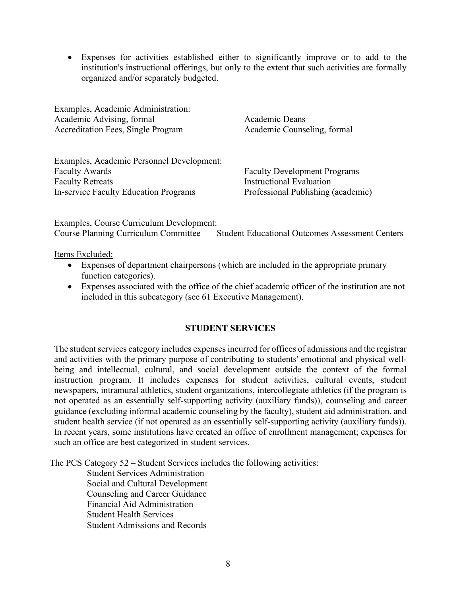• Expenses for activities established either to significantly improve or to add to the institution's instructional offerings, but only to the extent that such activities are formally organized and/or separately budgeted.

Examples, Academic Administration: Academic Advising, formal Academic Deans Accreditation Fees, Single Program Academic Counseling, formal

Examples, Academic Personnel Development: Faculty Awards Faculty Development Programs Faculty Retreats **Instructional Evaluation** In-service Faculty Education Programs Professional Publishing (academic)

Examples, Course Curriculum Development: Course Planning Curriculum Committee Student Educational Outcomes Assessment Centers

Items Excluded:

- Expenses of department chairpersons (which are included in the appropriate primary function categories).
- Expenses associated with the office of the chief academic officer of the institution are not included in this subcategory (see 61 Executive Management).

## **STUDENT SERVICES**

The student services category includes expenses incurred for offices of admissions and the registrar and activities with the primary purpose of contributing to students' emotional and physical wellbeing and intellectual, cultural, and social development outside the context of the formal instruction program. It includes expenses for student activities, cultural events, student newspapers, intramural athletics, student organizations, intercollegiate athletics (if the program is not operated as an essentially self-supporting activity (auxiliary funds)), counseling and career guidance (excluding informal academic counseling by the faculty), student aid administration, and student health service (if not operated as an essentially self-supporting activity (auxiliary funds)). In recent years, some institutions have created an office of enrollment management; expenses for such an office are best categorized in student services.

The PCS Category 52 – Student Services includes the following activities:

 Student Services Administration Social and Cultural Development Counseling and Career Guidance Financial Aid Administration Student Health Services Student Admissions and Records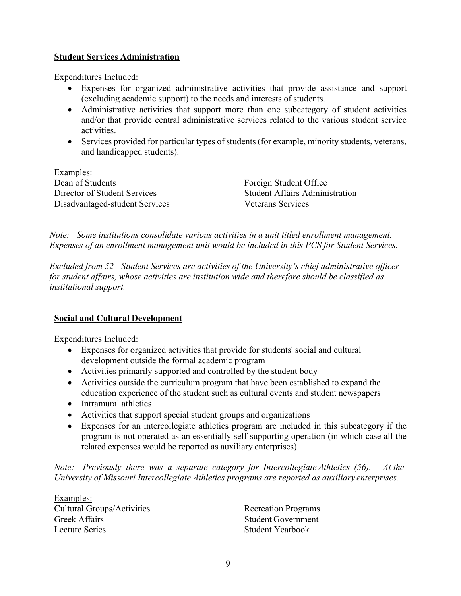### **Student Services Administration**

Expenditures Included:

- Expenses for organized administrative activities that provide assistance and support (excluding academic support) to the needs and interests of students.
- Administrative activities that support more than one subcategory of student activities and/or that provide central administrative services related to the various student service activities.
- Services provided for particular types of students (for example, minority students, veterans, and handicapped students).

| Examples:                      |
|--------------------------------|
| Dean of Students               |
| Director of Student Services   |
| Disadvantaged-student Services |

Foreign Student Office Student Affairs Administration Veterans Services

*Note: Some institutions consolidate various activities in a unit titled enrollment management. Expenses of an enrollment management unit would be included in this PCS for Student Services.*

*Excluded from 52 - Student Services are activities of the University's chief administrative officer for student affairs, whose activities are institution wide and therefore should be classified as institutional support.*

## **Social and Cultural Development**

Expenditures Included:

- Expenses for organized activities that provide for students' social and cultural development outside the formal academic program
- Activities primarily supported and controlled by the student body
- Activities outside the curriculum program that have been established to expand the education experience of the student such as cultural events and student newspapers
- Intramural athletics
- Activities that support special student groups and organizations
- Expenses for an intercollegiate athletics program are included in this subcategory if the program is not operated as an essentially self-supporting operation (in which case all the related expenses would be reported as auxiliary enterprises).

*Note: Previously there was a separate category for Intercollegiate Athletics (56). At the University of Missouri Intercollegiate Athletics programs are reported as auxiliary enterprises.*

Examples: Cultural Groups/Activities Recreation Programs Greek Affairs **Student Government** Lecture Series Student Yearbook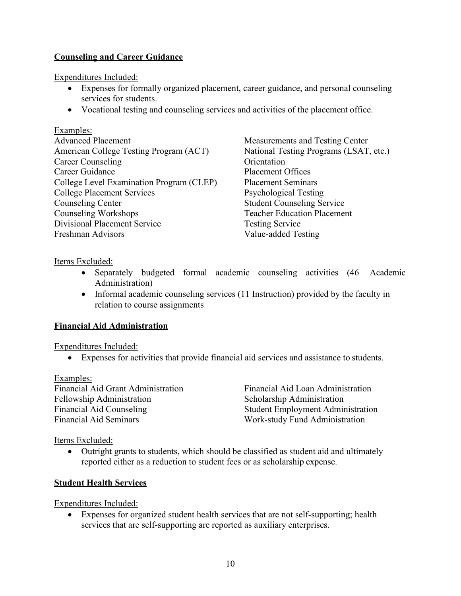# **Counseling and Career Guidance**

Expenditures Included:

- Expenses for formally organized placement, career guidance, and personal counseling services for students.
- Vocational testing and counseling services and activities of the placement office.

### Examples:

Advanced Placement Measurements and Testing Center American College Testing Program (ACT) National Testing Programs (LSAT, etc.) Career Counseling Career Counseling Career Guidance Placement Offices College Level Examination Program (CLEP) Placement Seminars College Placement Services Psychological Testing Counseling Center Student Counseling Service Counseling Workshops Teacher Education Placement Divisional Placement Service Testing Service Freshman Advisors Value-added Testing

Items Excluded:

- Separately budgeted formal academic counseling activities (46 Academic Administration)
- Informal academic counseling services (11 Instruction) provided by the faculty in relation to course assignments

## **Financial Aid Administration**

Expenditures Included:

• Expenses for activities that provide financial aid services and assistance to students.

#### Examples:

Financial Aid Grant Administration Financial Aid Loan Administration Fellowship Administration Scholarship Administration Financial Aid Seminars Work-study Fund Administration

Financial Aid Counseling Student Employment Administration

Items Excluded:

• Outright grants to students, which should be classified as student aid and ultimately reported either as a reduction to student fees or as scholarship expense.

## **Student Health Services**

Expenditures Included:

• Expenses for organized student health services that are not self-supporting; health services that are self-supporting are reported as auxiliary enterprises.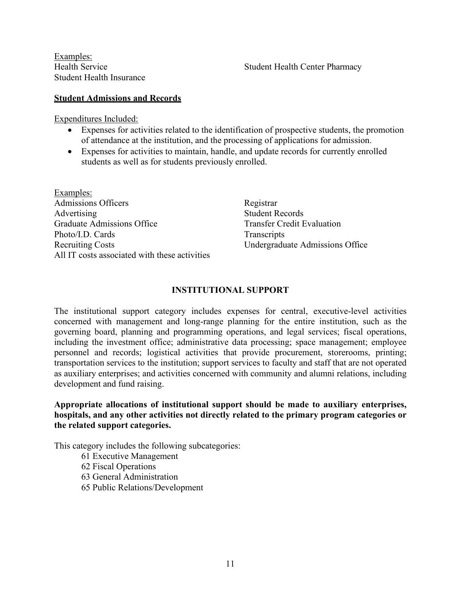Examples: Student Health Insurance

#### **Student Admissions and Records**

Expenditures Included:

- Expenses for activities related to the identification of prospective students, the promotion of attendance at the institution, and the processing of applications for admission.
- Expenses for activities to maintain, handle, and update records for currently enrolled students as well as for students previously enrolled.

Examples: Admissions Officers Registrar Advertising Student Records Graduate Admissions Office Transfer Credit Evaluation Photo/I.D. Cards Transcripts Recruiting Costs Undergraduate Admissions Office All IT costs associated with these activities

#### **INSTITUTIONAL SUPPORT**

The institutional support category includes expenses for central, executive-level activities concerned with management and long-range planning for the entire institution, such as the governing board, planning and programming operations, and legal services; fiscal operations, including the investment office; administrative data processing; space management; employee personnel and records; logistical activities that provide procurement, storerooms, printing; transportation services to the institution; support services to faculty and staff that are not operated as auxiliary enterprises; and activities concerned with community and alumni relations, including development and fund raising.

**Appropriate allocations of institutional support should be made to auxiliary enterprises, hospitals, and any other activities not directly related to the primary program categories or the related support categories.**

This category includes the following subcategories:

61 Executive Management

62 Fiscal Operations

63 General Administration

65 Public Relations/Development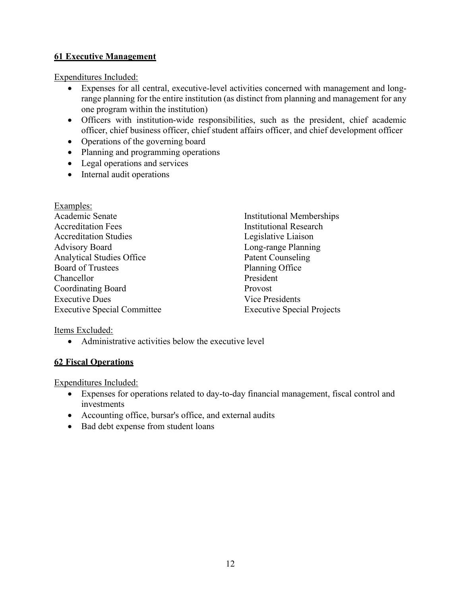# **61 Executive Management**

Expenditures Included:

- Expenses for all central, executive-level activities concerned with management and longrange planning for the entire institution (as distinct from planning and management for any one program within the institution)
- Officers with institution-wide responsibilities, such as the president, chief academic officer, chief business officer, chief student affairs officer, and chief development officer
- Operations of the governing board
- Planning and programming operations
- Legal operations and services
- Internal audit operations

| Examples:                          |                                   |
|------------------------------------|-----------------------------------|
| Academic Senate                    | <b>Institutional Memberships</b>  |
| <b>Accreditation Fees</b>          | <b>Institutional Research</b>     |
| <b>Accreditation Studies</b>       | Legislative Liaison               |
| <b>Advisory Board</b>              | Long-range Planning               |
| <b>Analytical Studies Office</b>   | <b>Patent Counseling</b>          |
| <b>Board of Trustees</b>           | Planning Office                   |
| Chancellor                         | President                         |
| <b>Coordinating Board</b>          | Provost                           |
| <b>Executive Dues</b>              | Vice Presidents                   |
| <b>Executive Special Committee</b> | <b>Executive Special Projects</b> |

Items Excluded:

• Administrative activities below the executive level

## **62 Fiscal Operations**

Expenditures Included:

- Expenses for operations related to day-to-day financial management, fiscal control and investments
- Accounting office, bursar's office, and external audits
- Bad debt expense from student loans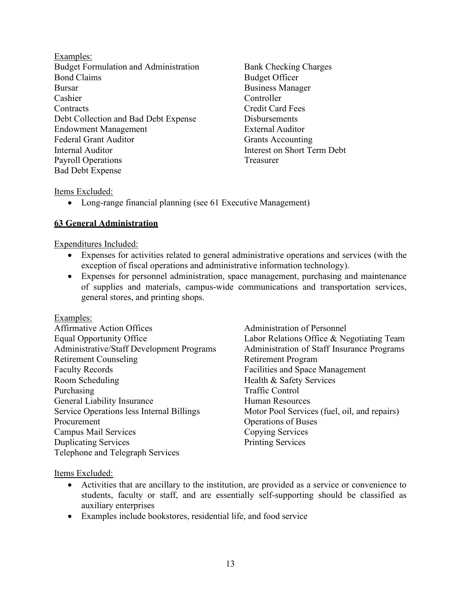Examples: Budget Formulation and Administration Bank Checking Charges Bond Claims Budget Officer Bursar Business Manager Cashier Controller Contracts Credit Card Fees Debt Collection and Bad Debt Expense Disbursements Endowment Management External Auditor Federal Grant Auditor Grants Accounting Internal Auditor Interest on Short Term Debt Payroll Operations Treasurer Bad Debt Expense

#### Items Excluded:

• Long-range financial planning (see 61 Executive Management)

### **63 General Administration**

Expenditures Included:

- Expenses for activities related to general administrative operations and services (with the exception of fiscal operations and administrative information technology).
- Expenses for personnel administration, space management, purchasing and maintenance of supplies and materials, campus-wide communications and transportation services, general stores, and printing shops.

#### Examples:

| <b>Affirmative Action Offices</b>         |
|-------------------------------------------|
| Equal Opportunity Office                  |
| Administrative/Staff Development Program  |
| <b>Retirement Counseling</b>              |
| <b>Faculty Records</b>                    |
| Room Scheduling                           |
| Purchasing                                |
| <b>General Liability Insurance</b>        |
| Service Operations less Internal Billings |
| Procurement                               |
| Campus Mail Services                      |
| <b>Duplicating Services</b>               |
| Telephone and Telegraph Services          |

Administration of Personnel Labor Relations Office & Negotiating Team ns Administration of Staff Insurance Programs Retirement Program Facilities and Space Management Health & Safety Services **Traffic Control** Human Resources Motor Pool Services (fuel, oil, and repairs) Operations of Buses Copying Services Printing Services

#### Items Excluded:

- Activities that are ancillary to the institution, are provided as a service or convenience to students, faculty or staff, and are essentially self-supporting should be classified as auxiliary enterprises
- Examples include bookstores, residential life, and food service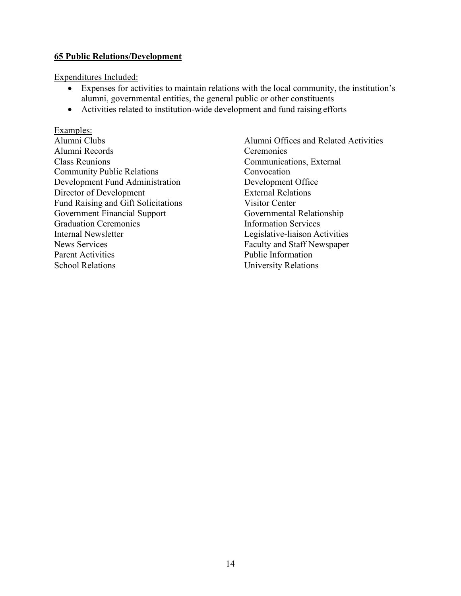### **65 Public Relations/Development**

Expenditures Included:

- Expenses for activities to maintain relations with the local community, the institution's alumni, governmental entities, the general public or other constituents
- Activities related to institution-wide development and fund raising efforts

Examples: Alumni Records Ceremonies Class Reunions Communications, External Community Public Relations Convocation Development Fund Administration Development Office Director of Development External Relations Fund Raising and Gift Solicitations Visitor Center Government Financial Support Governmental Relationship<br>Graduation Ceremonies Information Services Graduation Ceremonies Internal Newsletter Legislative-liaison Activities News Services Faculty and Staff Newspaper Parent Activities **Public Information** School Relations University Relations

Alumni Clubs Alumni Offices and Related Activities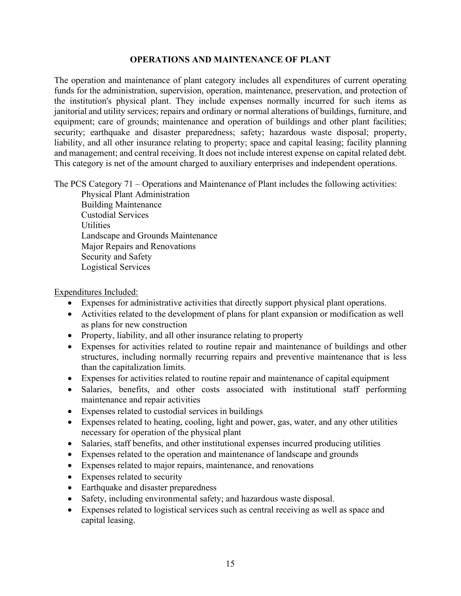### **OPERATIONS AND MAINTENANCE OF PLANT**

The operation and maintenance of plant category includes all expenditures of current operating funds for the administration, supervision, operation, maintenance, preservation, and protection of the institution's physical plant. They include expenses normally incurred for such items as janitorial and utility services; repairs and ordinary or normal alterations of buildings, furniture, and equipment; care of grounds; maintenance and operation of buildings and other plant facilities; security; earthquake and disaster preparedness; safety; hazardous waste disposal; property, liability, and all other insurance relating to property; space and capital leasing; facility planning and management; and central receiving. It does not include interest expense on capital related debt. This category is net of the amount charged to auxiliary enterprises and independent operations.

The PCS Category 71 – Operations and Maintenance of Plant includes the following activities:

Physical Plant Administration Building Maintenance Custodial Services **Utilities** Landscape and Grounds Maintenance Major Repairs and Renovations Security and Safety Logistical Services

Expenditures Included:

- Expenses for administrative activities that directly support physical plant operations.
- Activities related to the development of plans for plant expansion or modification as well as plans for new construction
- Property, liability, and all other insurance relating to property
- Expenses for activities related to routine repair and maintenance of buildings and other structures, including normally recurring repairs and preventive maintenance that is less than the capitalization limits.
- Expenses for activities related to routine repair and maintenance of capital equipment
- Salaries, benefits, and other costs associated with institutional staff performing maintenance and repair activities
- Expenses related to custodial services in buildings
- Expenses related to heating, cooling, light and power, gas, water, and any other utilities necessary for operation of the physical plant
- Salaries, staff benefits, and other institutional expenses incurred producing utilities
- Expenses related to the operation and maintenance of landscape and grounds
- Expenses related to major repairs, maintenance, and renovations
- Expenses related to security
- Earthquake and disaster preparedness
- Safety, including environmental safety; and hazardous waste disposal.
- Expenses related to logistical services such as central receiving as well as space and capital leasing.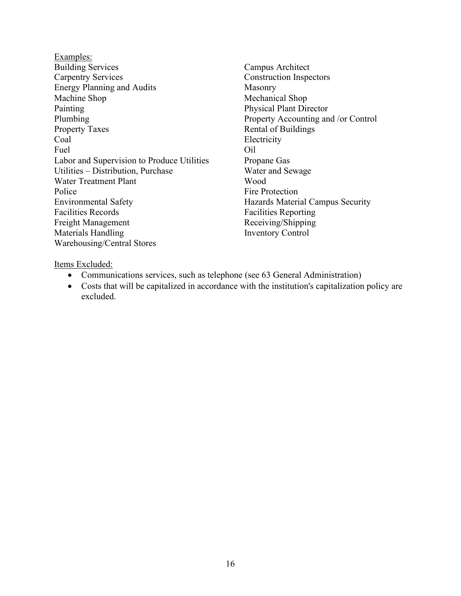- Examples: Building Services Campus Architect Carpentry Services Construction Inspectors Energy Planning and Audits Masonry Machine Shop Mechanical Shop Painting Physical Plant Director Plumbing Property Accounting and /or Control Property Taxes Rental of Buildings Coal Electricity Fuel **Oil** Labor and Supervision to Produce Utilities Propane Gas Utilities – Distribution, Purchase Water and Sewage Water Treatment Plant Wood Police Fire Protection Environmental Safety **Hazards Material Campus Security** Facilities Records **Facilities** Reporting Freight Management Receiving/Shipping Materials Handling Inventory Control Warehousing/Central Stores
	-

#### Items Excluded:

- Communications services, such as telephone (see 63 General Administration)
- Costs that will be capitalized in accordance with the institution's capitalization policy are excluded.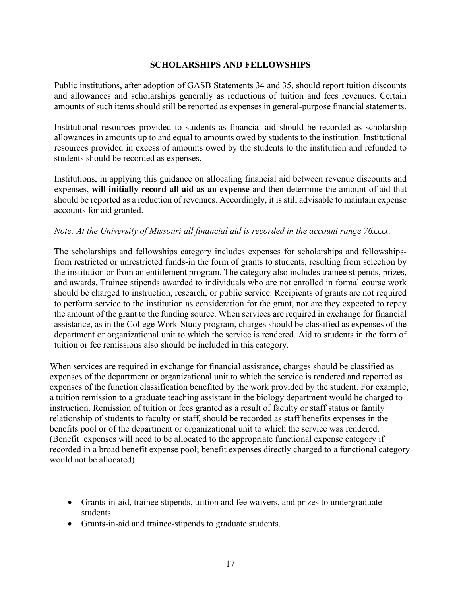### **SCHOLARSHIPS AND FELLOWSHIPS**

Public institutions, after adoption of GASB Statements 34 and 35, should report tuition discounts and allowances and scholarships generally as reductions of tuition and fees revenues. Certain amounts of such items should still be reported as expenses in general-purpose financial statements.

Institutional resources provided to students as financial aid should be recorded as scholarship allowances in amounts up to and equal to amounts owed by students to the institution. Institutional resources provided in excess of amounts owed by the students to the institution and refunded to students should be recorded as expenses.

Institutions, in applying this guidance on allocating financial aid between revenue discounts and expenses, **will initially record all aid as an expense** and then determine the amount of aid that should be reported as a reduction of revenues. Accordingly, it is still advisable to maintain expense accounts for aid granted.

### *Note: At the University of Missouri all financial aid is recorded in the account range 76xxxx.*

The scholarships and fellowships category includes expenses for scholarships and fellowshipsfrom restricted or unrestricted funds-in the form of grants to students, resulting from selection by the institution or from an entitlement program. The category also includes trainee stipends, prizes, and awards. Trainee stipends awarded to individuals who are not enrolled in formal course work should be charged to instruction, research, or public service. Recipients of grants are not required to perform service to the institution as consideration for the grant, nor are they expected to repay the amount of the grant to the funding source. When services are required in exchange for financial assistance, as in the College Work-Study program, charges should be classified as expenses of the department or organizational unit to which the service is rendered. Aid to students in the form of tuition or fee remissions also should be included in this category.

When services are required in exchange for financial assistance, charges should be classified as expenses of the department or organizational unit to which the service is rendered and reported as expenses of the function classification benefited by the work provided by the student. For example, a tuition remission to a graduate teaching assistant in the biology department would be charged to instruction. Remission of tuition or fees granted as a result of faculty or staff status or family relationship of students to faculty or staff, should be recorded as staff benefits expenses in the benefits pool or of the department or organizational unit to which the service was rendered. (Benefit expenses will need to be allocated to the appropriate functional expense category if recorded in a broad benefit expense pool; benefit expenses directly charged to a functional category would not be allocated).

- Grants-in-aid, trainee stipends, tuition and fee waivers, and prizes to undergraduate students.
- Grants-in-aid and trainee-stipends to graduate students.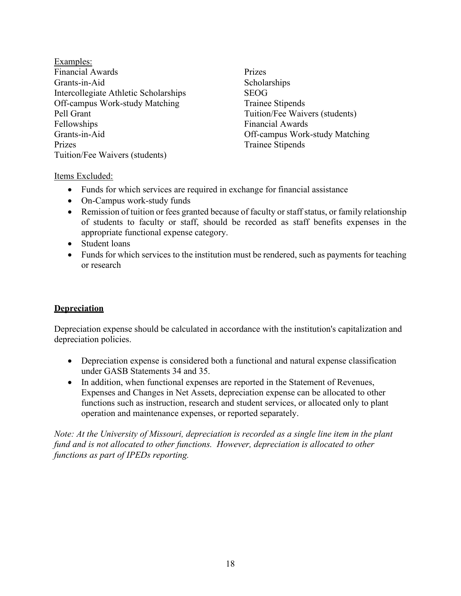Examples: Financial Awards Prizes Grants-in-Aid Scholarships Intercollegiate Athletic Scholarships SEOG Off-campus Work-study Matching Trainee Stipends Pell Grant Tuition/Fee Waivers (students) Fellowships Financial Awards Grants-in-Aid Off-campus Work-study Matching Prizes Trainee Stipends Tuition/Fee Waivers (students)

### Items Excluded:

- Funds for which services are required in exchange for financial assistance
- On-Campus work-study funds
- Remission of tuition or fees granted because of faculty or staff status, or family relationship of students to faculty or staff, should be recorded as staff benefits expenses in the appropriate functional expense category.
- Student loans
- Funds for which services to the institution must be rendered, such as payments for teaching or research

## **Depreciation**

Depreciation expense should be calculated in accordance with the institution's capitalization and depreciation policies.

- Depreciation expense is considered both a functional and natural expense classification under GASB Statements 34 and 35.
- In addition, when functional expenses are reported in the Statement of Revenues, Expenses and Changes in Net Assets, depreciation expense can be allocated to other functions such as instruction, research and student services, or allocated only to plant operation and maintenance expenses, or reported separately.

*Note: At the University of Missouri, depreciation is recorded as a single line item in the plant fund and is not allocated to other functions. However, depreciation is allocated to other functions as part of IPEDs reporting.*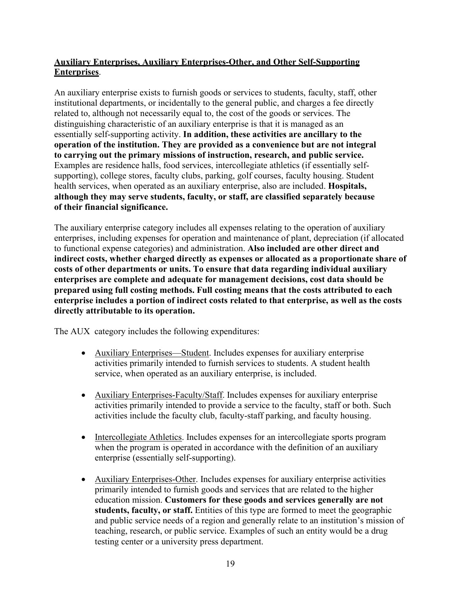# **Auxiliary Enterprises, Auxiliary Enterprises-Other, and Other Self-Supporting Enterprises**.

An auxiliary enterprise exists to furnish goods or services to students, faculty, staff, other institutional departments, or incidentally to the general public, and charges a fee directly related to, although not necessarily equal to, the cost of the goods or services. The distinguishing characteristic of an auxiliary enterprise is that it is managed as an essentially self-supporting activity. **In addition, these activities are ancillary to the operation of the institution. They are provided as a convenience but are not integral to carrying out the primary missions of instruction, research, and public service.**  Examples are residence halls, food services, intercollegiate athletics (if essentially selfsupporting), college stores, faculty clubs, parking, golf courses, faculty housing. Student health services, when operated as an auxiliary enterprise, also are included. **Hospitals, although they may serve students, faculty, or staff, are classified separately because of their financial significance.**

The auxiliary enterprise category includes all expenses relating to the operation of auxiliary enterprises, including expenses for operation and maintenance of plant, depreciation (if allocated to functional expense categories) and administration. **Also included are other direct and indirect costs, whether charged directly as expenses or allocated as a proportionate share of costs of other departments or units. To ensure that data regarding individual auxiliary enterprises are complete and adequate for management decisions, cost data should be prepared using full costing methods. Full costing means that the costs attributed to each enterprise includes a portion of indirect costs related to that enterprise, as well as the costs directly attributable to its operation.**

The AUX category includes the following expenditures:

- Auxiliary Enterprises—Student. Includes expenses for auxiliary enterprise activities primarily intended to furnish services to students. A student health service, when operated as an auxiliary enterprise, is included.
- Auxiliary Enterprises-Faculty/Staff. Includes expenses for auxiliary enterprise activities primarily intended to provide a service to the faculty, staff or both. Such activities include the faculty club, faculty-staff parking, and faculty housing.
- Intercollegiate Athletics. Includes expenses for an intercollegiate sports program when the program is operated in accordance with the definition of an auxiliary enterprise (essentially self-supporting).
- Auxiliary Enterprises-Other. Includes expenses for auxiliary enterprise activities primarily intended to furnish goods and services that are related to the higher education mission. **Customers for these goods and services generally are not students, faculty, or staff.** Entities of this type are formed to meet the geographic and public service needs of a region and generally relate to an institution's mission of teaching, research, or public service. Examples of such an entity would be a drug testing center or a university press department.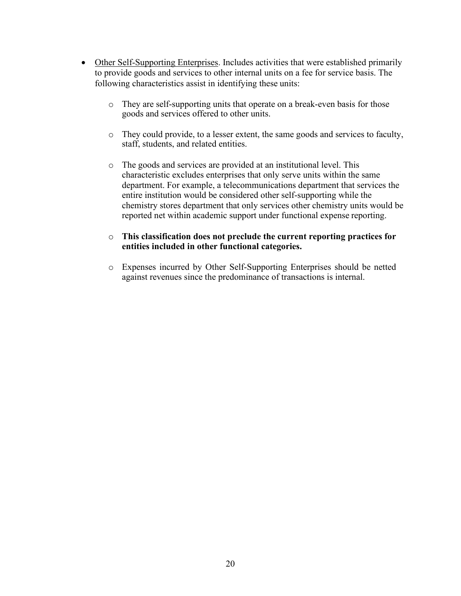- Other Self-Supporting Enterprises. Includes activities that were established primarily to provide goods and services to other internal units on a fee for service basis. The following characteristics assist in identifying these units:
	- o They are self-supporting units that operate on a break-even basis for those goods and services offered to other units.
	- o They could provide, to a lesser extent, the same goods and services to faculty, staff, students, and related entities.
	- o The goods and services are provided at an institutional level. This characteristic excludes enterprises that only serve units within the same department. For example, a telecommunications department that services the entire institution would be considered other self-supporting while the chemistry stores department that only services other chemistry units would be reported net within academic support under functional expense reporting.

### o **This classification does not preclude the current reporting practices for entities included in other functional categories.**

o Expenses incurred by Other Self-Supporting Enterprises should be netted against revenues since the predominance of transactions is internal.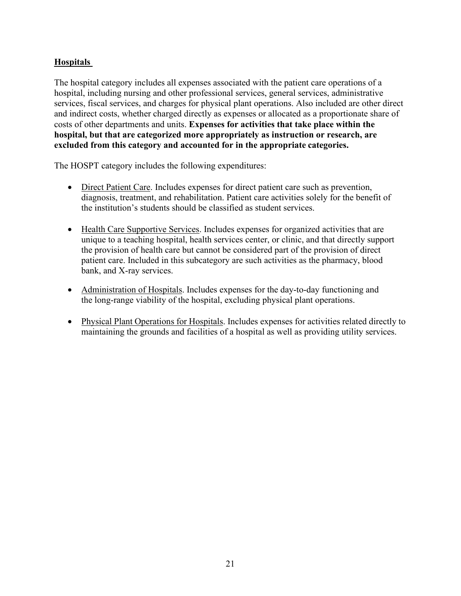# **Hospitals**

The hospital category includes all expenses associated with the patient care operations of a hospital, including nursing and other professional services, general services, administrative services, fiscal services, and charges for physical plant operations. Also included are other direct and indirect costs, whether charged directly as expenses or allocated as a proportionate share of costs of other departments and units. **Expenses for activities that take place within the hospital, but that are categorized more appropriately as instruction or research, are excluded from this category and accounted for in the appropriate categories.**

The HOSPT category includes the following expenditures:

- Direct Patient Care. Includes expenses for direct patient care such as prevention, diagnosis, treatment, and rehabilitation. Patient care activities solely for the benefit of the institution's students should be classified as student services.
- Health Care Supportive Services. Includes expenses for organized activities that are unique to a teaching hospital, health services center, or clinic, and that directly support the provision of health care but cannot be considered part of the provision of direct patient care. Included in this subcategory are such activities as the pharmacy, blood bank, and X-ray services.
- Administration of Hospitals. Includes expenses for the day-to-day functioning and the long-range viability of the hospital, excluding physical plant operations.
- Physical Plant Operations for Hospitals. Includes expenses for activities related directly to maintaining the grounds and facilities of a hospital as well as providing utility services.